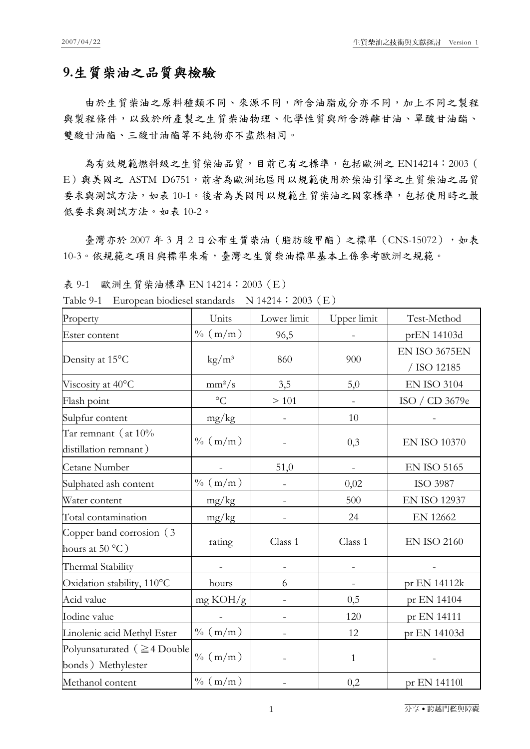## **9.**生質柴油之品質與檢驗

由於生質柴油之原料種類不同、來源不同,所含油脂成分亦不同,加上不同之製程 與製程條件,以致於所產製之生質柴油物理、化學性質與所含游離甘油、單酸甘油酯、 雙酸甘油酯、三酸甘油酯等不純物亦不盡然相同。

為有效規範燃料級之生質柴油品質,目前已有之標準,包括歐洲之 EN14214: 2003 ( E)與美國之 ASTM D6751, 前者為歐洲地區用以規範使用於柴油引擎之生質柴油之品質 要求與測試方法,如表 10-1。後者為美國用以規範生質柴油之國家標準,包括使用時之最 低要求與測試方法。如表 10-2。

臺灣亦於 2007年3月2日公布生質柴油(脂肪酸甲酯)之標準(CNS-15072),如表 10-3。依規範之項目與標準來看,臺灣之生質柴油標準基本上係參考歐洲之規範。

表 9-1 歐洲生質柴油標準 EN 14214:2003(E)

| Table 9-1 European biodiesel standards N 14214: 2003 (E) |  |
|----------------------------------------------------------|--|
|----------------------------------------------------------|--|

| Property                                                | Units                  | Lower limit | Upper limit              | Test-Method                  |
|---------------------------------------------------------|------------------------|-------------|--------------------------|------------------------------|
| Ester content                                           | $\% (m/m)$             | 96,5        |                          | prEN 14103d                  |
| Density at 15°C                                         | $\text{kg}/\text{m}^3$ | 860         | 900                      | EN ISO 3675EN<br>/ ISO 12185 |
| Viscosity at 40°C                                       | $mm^2/s$               | 3,5         | 5,0                      | <b>EN ISO 3104</b>           |
| Flash point                                             | $\rm ^{\circ}C$        | >101        |                          | ISO / CD 3679e               |
| Sulpfur content                                         | mg/kg                  |             | 10                       |                              |
| Tar remnant (at $10\%$<br>distillation remnant)         | $\% (m/m)$             |             | 0,3                      | <b>EN ISO 10370</b>          |
| Cetane Number                                           |                        | 51,0        | $\blacksquare$           | <b>EN ISO 5165</b>           |
| Sulphated ash content                                   | $\%$ (m/m)             |             | 0,02                     | ISO 3987                     |
| Water content                                           | mg/kg                  |             | 500                      | <b>EN ISO 12937</b>          |
| Total contamination                                     | mg/kg                  |             | 24                       | EN 12662                     |
| Copper band corrosion (3)<br>hours at $50 °C$ )         | rating                 | Class 1     | Class 1                  | <b>EN ISO 2160</b>           |
| Thermal Stability                                       |                        |             |                          |                              |
| Oxidation stability, 110°C                              | hours                  | 6           | $\overline{\phantom{a}}$ | pr EN 14112k                 |
| Acid value                                              | mg KOH/g               |             | 0,5                      | pr EN 14104                  |
| Iodine value                                            |                        |             | 120                      | pr EN 14111                  |
| Linolenic acid Methyl Ester                             | $\% (m/m)$             |             | 12                       | pr EN 14103d                 |
| Polyunsaturated ( $\geq 4$ Double<br>bonds) Methylester | $\% (m/m)$             |             | $\mathbf{1}$             |                              |
| Methanol content                                        | $\% (m/m)$             |             | 0,2                      | pr EN 141101                 |

1 分享․跨越門檻與障礙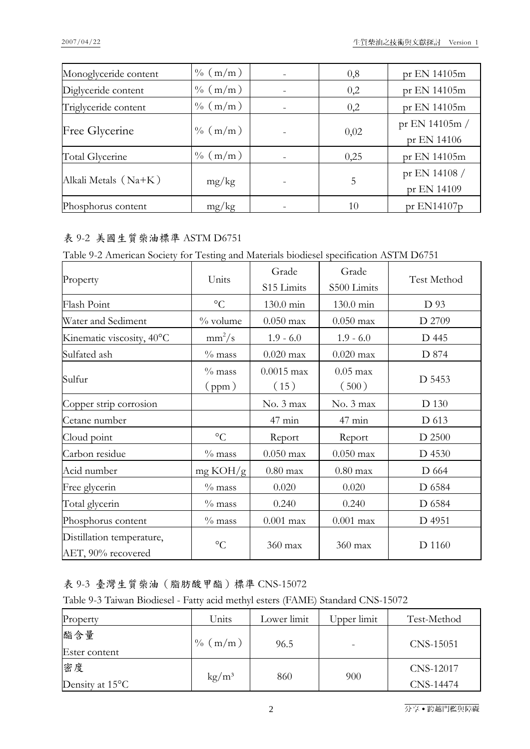| Monoglyceride content | $\% (m/m)$ | 0,8  | pr EN 14105m                    |
|-----------------------|------------|------|---------------------------------|
| Diglyceride content   | $\% (m/m)$ | 0,2  | pr EN 14105m                    |
| Triglyceride content  | $\% (m/m)$ | 0,2  | pr EN 14105m                    |
| Free Glycerine        | $\% (m/m)$ | 0,02 | pr EN 14105 $m/$<br>pr EN 14106 |
| Total Glycerine       | $\%$ (m/m) | 0,25 | pr EN 14105m                    |
| Alkali Metals (Na+K)  | mg/kg      | 5    | pr EN 14108 /<br>pr EN 14109    |
| Phosphorus content    | mg/kg      | 10   | pr $EN14107p$                   |

## 表 9-2 美國生質柴油標準 ASTM D6751

|  |  |  | Table 9-2 American Society for Testing and Materials biodiesel specification ASTM D6751 |
|--|--|--|-----------------------------------------------------------------------------------------|
|--|--|--|-----------------------------------------------------------------------------------------|

| Property                                        | Units              | Grade<br>S15 Limits  | Grade<br>S500 Limits | Test Method |
|-------------------------------------------------|--------------------|----------------------|----------------------|-------------|
| Flash Point                                     | $\rm ^{\circ}C$    | 130.0 min            | 130.0 min            | D 93        |
| Water and Sediment                              | $\%$ volume        | $0.050$ max          | $0.050$ max          | D 2709      |
| Kinematic viscosity, 40°C                       | $mm^2/s$           | $1.9 - 6.0$          | $1.9 - 6.0$          | D 445       |
| Sulfated ash                                    | $\%$ mass          | $0.020$ max          | $0.020$ max          | D 874       |
| Sulfur                                          | $\%$ mass<br>(ppm) | $0.0015$ max<br>(15) | $0.05$ max<br>(500)  | D 5453      |
| Copper strip corrosion                          |                    | No. 3 max            | No. 3 max            | D 130       |
| Cetane number                                   |                    | $47$ min             | $47$ min             | D 613       |
| Cloud point                                     | $\rm ^{\circ}C$    | Report               | Report               | D 2500      |
| Carbon residue                                  | $\%$ mass          | $0.050$ max          | $0.050$ max          | D 4530      |
| Acid number                                     | mg KOH/g           | $0.80$ max           | $0.80$ max           | D 664       |
| Free glycerin                                   | $\%$ mass          | 0.020                | 0.020                | D 6584      |
| Total glycerin                                  | $\%$ mass          | 0.240                | 0.240                | D 6584      |
| Phosphorus content                              | $\%$ mass          | $0.001$ max          | $0.001$ max          | D 4951      |
| Distillation temperature,<br>AET, 90% recovered | $\rm ^{\circ}C$    | 360 max              | 360 max              | D 1160      |

## 表 9-3 臺灣生質柴油 (脂肪酸甲酯)標準 CNS-15072

Table 9-3 Taiwan Biodiesel - Fatty acid methyl esters (FAME) Standard CNS-15072

| Property                           | Units                  | Lower limit | Upper limit | Test-Method            |
|------------------------------------|------------------------|-------------|-------------|------------------------|
| 酯含量<br>Ester content               | (m/m)<br>$\frac{0}{0}$ | 96.5        |             | CNS-15051              |
| 密度<br>Density at 15 <sup>o</sup> C | $\text{kg}/\text{m}^3$ | 860         | 900         | CNS-12017<br>CNS-14474 |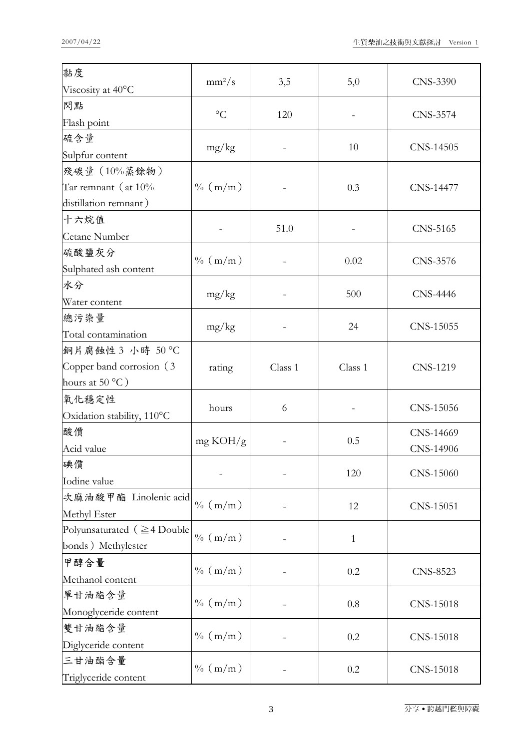| 黏度                                | $mm^2/s$        | 3,5     | 5,0          | CNS-3390  |
|-----------------------------------|-----------------|---------|--------------|-----------|
| Viscosity at 40°C                 |                 |         |              |           |
| 閃點<br>Flash point                 | $\rm ^{\circ}C$ | 120     |              | CNS-3574  |
| 硫含量                               |                 |         |              |           |
| Sulpfur content                   | mg/kg           |         | 10           | CNS-14505 |
| 殘碳量 (10%蒸餘物)                      |                 |         |              |           |
| Tar remnant (at $10\%$            | $\%$ (m/m)      |         | 0.3          | CNS-14477 |
| distillation remnant)             |                 |         |              |           |
| 十六烷值                              |                 |         |              |           |
| Cetane Number                     |                 | 51.0    |              | CNS-5165  |
| 硫酸鹽灰分                             |                 |         |              |           |
| Sulphated ash content             | $\% (m/m)$      |         | 0.02         | CNS-3576  |
| 水分                                |                 |         |              |           |
| Water content                     | mg/kg           |         | 500          | CNS-4446  |
| 總污染量                              |                 |         |              |           |
| Total contamination               | mg/kg           |         | 24           | CNS-15055 |
| 銅片腐蝕性 3 小時 50 ℃                   |                 |         |              |           |
| Copper band corrosion (3          | rating          | Class 1 | Class 1      | CNS-1219  |
| hours at 50 $^{\circ}$ C)         |                 |         |              |           |
| 氧化穩定性                             | hours           | 6       |              | CNS-15056 |
| Oxidation stability, 110°C        |                 |         |              |           |
| 酸價                                | mg KOH/g        |         | 0.5          | CNS-14669 |
| Acid value                        |                 |         |              | CNS-14906 |
| 碘價                                |                 |         | 120          | CNS-15060 |
| Iodine value                      |                 |         |              |           |
| 次麻油酸甲酯 Linolenic acid             | $\% (m/m)$      |         | 12           | CNS-15051 |
| Methyl Ester                      |                 |         |              |           |
| Polyunsaturated ( $\geq 4$ Double | $\% (m/m)$      |         | $\mathbf{1}$ |           |
| bonds) Methylester                |                 |         |              |           |
| 甲醇含量                              | $\% (m/m)$      |         | 0.2          | CNS-8523  |
| Methanol content                  |                 |         |              |           |
| 單甘油酯含量                            | $\% (m/m)$      |         | 0.8          | CNS-15018 |
| Monoglyceride content             |                 |         |              |           |
| 雙甘油酯含量                            | $\% (m/m)$      |         | 0.2          | CNS-15018 |
| Diglyceride content               |                 |         |              |           |
| 三甘油酯含量                            | $\% (m/m)$      |         | 0.2          | CNS-15018 |
| Triglyceride content              |                 |         |              |           |